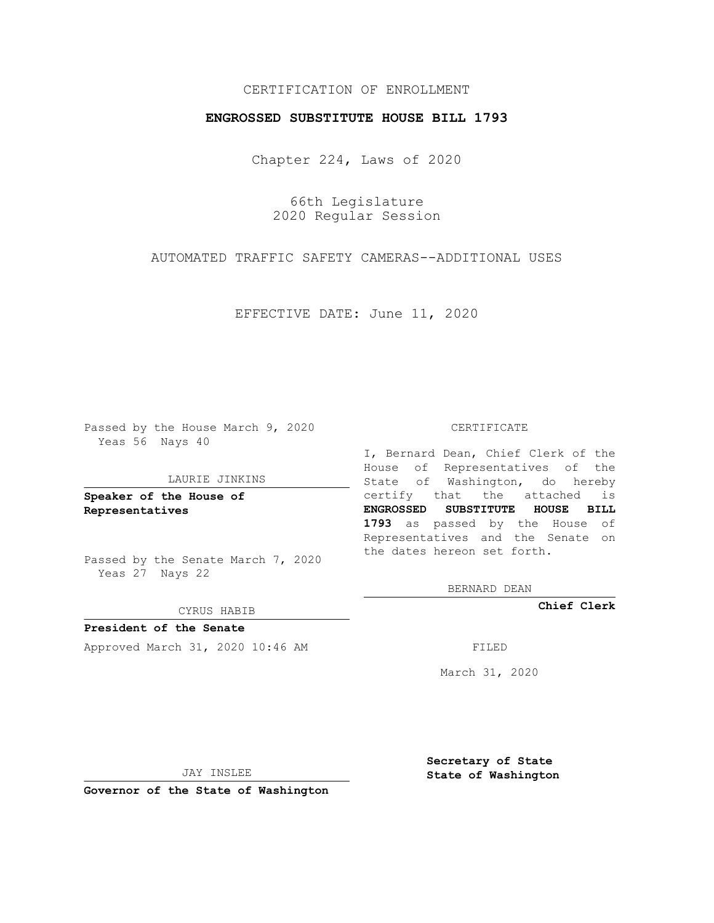## CERTIFICATION OF ENROLLMENT

### **ENGROSSED SUBSTITUTE HOUSE BILL 1793**

Chapter 224, Laws of 2020

66th Legislature 2020 Regular Session

AUTOMATED TRAFFIC SAFETY CAMERAS--ADDITIONAL USES

EFFECTIVE DATE: June 11, 2020

Passed by the House March 9, 2020 Yeas 56 Nays 40

#### LAURIE JINKINS

**Speaker of the House of Representatives**

Passed by the Senate March 7, 2020 Yeas 27 Nays 22

CYRUS HABIB

**President of the Senate** Approved March 31, 2020 10:46 AM FILED

### CERTIFICATE

I, Bernard Dean, Chief Clerk of the House of Representatives of the State of Washington, do hereby certify that the attached is **ENGROSSED SUBSTITUTE HOUSE BILL 1793** as passed by the House of Representatives and the Senate on the dates hereon set forth.

BERNARD DEAN

**Chief Clerk**

March 31, 2020

JAY INSLEE

**Governor of the State of Washington**

**Secretary of State State of Washington**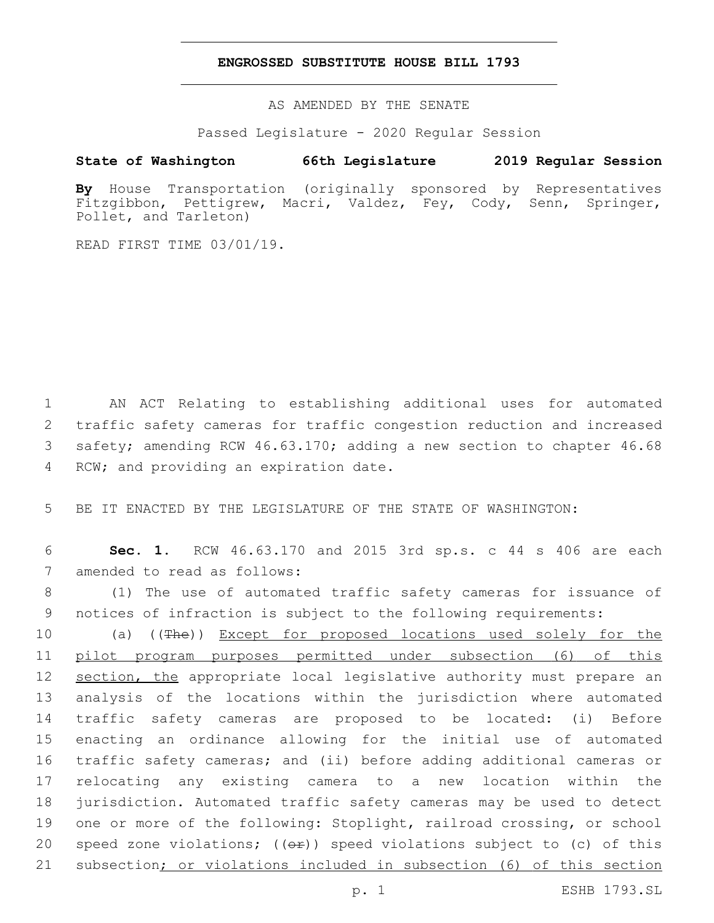### **ENGROSSED SUBSTITUTE HOUSE BILL 1793**

AS AMENDED BY THE SENATE

Passed Legislature - 2020 Regular Session

# **State of Washington 66th Legislature 2019 Regular Session**

**By** House Transportation (originally sponsored by Representatives Fitzgibbon, Pettigrew, Macri, Valdez, Fey, Cody, Senn, Springer, Pollet, and Tarleton)

READ FIRST TIME 03/01/19.

 AN ACT Relating to establishing additional uses for automated traffic safety cameras for traffic congestion reduction and increased safety; amending RCW 46.63.170; adding a new section to chapter 46.68 4 RCW; and providing an expiration date.

5 BE IT ENACTED BY THE LEGISLATURE OF THE STATE OF WASHINGTON:

6 **Sec. 1.** RCW 46.63.170 and 2015 3rd sp.s. c 44 s 406 are each 7 amended to read as follows:

8 (1) The use of automated traffic safety cameras for issuance of 9 notices of infraction is subject to the following requirements:

10 (a) ((The)) Except for proposed locations used solely for the pilot program purposes permitted under subsection (6) of this 12 section, the appropriate local legislative authority must prepare an analysis of the locations within the jurisdiction where automated traffic safety cameras are proposed to be located: (i) Before enacting an ordinance allowing for the initial use of automated traffic safety cameras; and (ii) before adding additional cameras or relocating any existing camera to a new location within the jurisdiction. Automated traffic safety cameras may be used to detect one or more of the following: Stoplight, railroad crossing, or school 20 speed zone violations;  $((\theta \oplus))$  speed violations subject to (c) of this 21 subsection; or violations included in subsection (6) of this section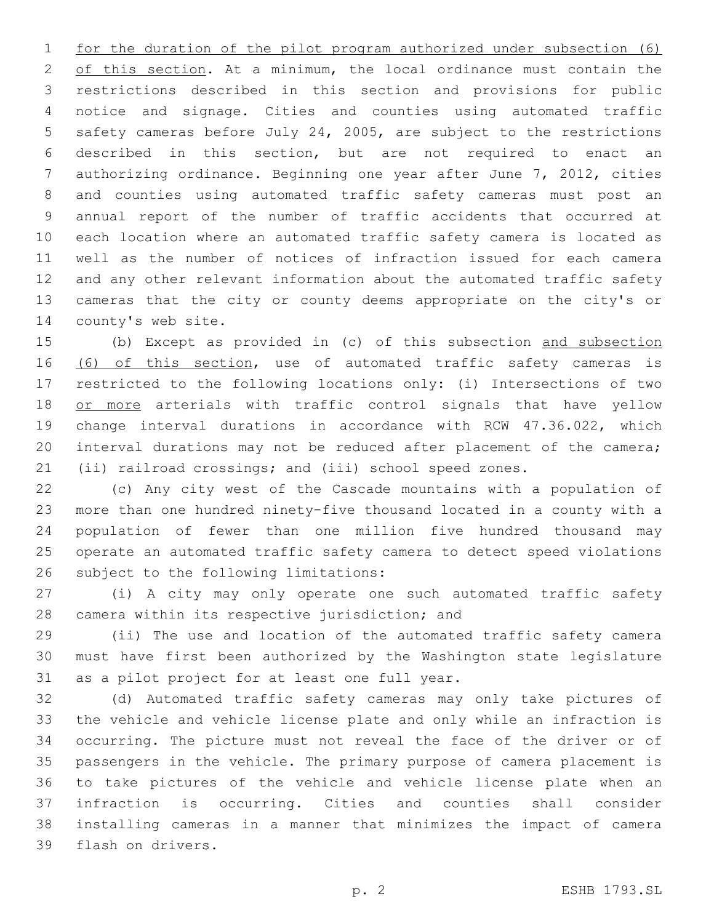for the duration of the pilot program authorized under subsection (6) 2 of this section. At a minimum, the local ordinance must contain the restrictions described in this section and provisions for public notice and signage. Cities and counties using automated traffic safety cameras before July 24, 2005, are subject to the restrictions described in this section, but are not required to enact an authorizing ordinance. Beginning one year after June 7, 2012, cities and counties using automated traffic safety cameras must post an annual report of the number of traffic accidents that occurred at each location where an automated traffic safety camera is located as well as the number of notices of infraction issued for each camera and any other relevant information about the automated traffic safety cameras that the city or county deems appropriate on the city's or 14 county's web site.

 (b) Except as provided in (c) of this subsection and subsection 16 (6) of this section, use of automated traffic safety cameras is restricted to the following locations only: (i) Intersections of two 18 or more arterials with traffic control signals that have yellow change interval durations in accordance with RCW 47.36.022, which interval durations may not be reduced after placement of the camera; (ii) railroad crossings; and (iii) school speed zones.

 (c) Any city west of the Cascade mountains with a population of more than one hundred ninety-five thousand located in a county with a population of fewer than one million five hundred thousand may operate an automated traffic safety camera to detect speed violations 26 subject to the following limitations:

 (i) A city may only operate one such automated traffic safety 28 camera within its respective jurisdiction; and

 (ii) The use and location of the automated traffic safety camera must have first been authorized by the Washington state legislature 31 as a pilot project for at least one full year.

 (d) Automated traffic safety cameras may only take pictures of the vehicle and vehicle license plate and only while an infraction is occurring. The picture must not reveal the face of the driver or of passengers in the vehicle. The primary purpose of camera placement is to take pictures of the vehicle and vehicle license plate when an infraction is occurring. Cities and counties shall consider installing cameras in a manner that minimizes the impact of camera 39 flash on drivers.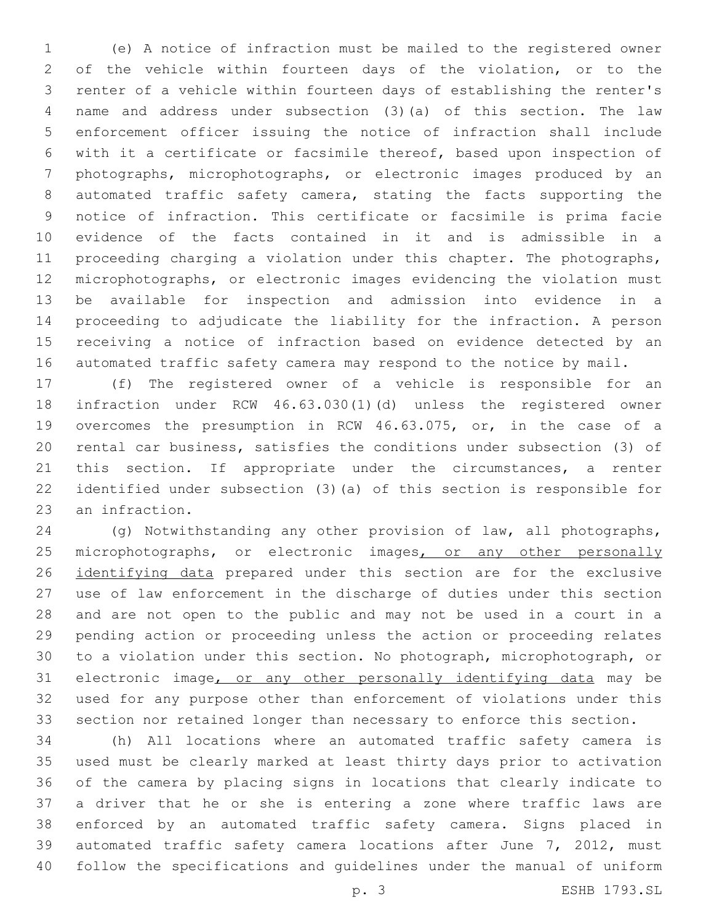(e) A notice of infraction must be mailed to the registered owner of the vehicle within fourteen days of the violation, or to the renter of a vehicle within fourteen days of establishing the renter's name and address under subsection (3)(a) of this section. The law enforcement officer issuing the notice of infraction shall include with it a certificate or facsimile thereof, based upon inspection of photographs, microphotographs, or electronic images produced by an automated traffic safety camera, stating the facts supporting the notice of infraction. This certificate or facsimile is prima facie evidence of the facts contained in it and is admissible in a proceeding charging a violation under this chapter. The photographs, microphotographs, or electronic images evidencing the violation must be available for inspection and admission into evidence in a proceeding to adjudicate the liability for the infraction. A person receiving a notice of infraction based on evidence detected by an automated traffic safety camera may respond to the notice by mail.

 (f) The registered owner of a vehicle is responsible for an infraction under RCW 46.63.030(1)(d) unless the registered owner overcomes the presumption in RCW 46.63.075, or, in the case of a rental car business, satisfies the conditions under subsection (3) of 21 this section. If appropriate under the circumstances, a renter identified under subsection (3)(a) of this section is responsible for 23 an infraction.

 (g) Notwithstanding any other provision of law, all photographs, 25 microphotographs, or electronic images, or any other personally 26 identifying data prepared under this section are for the exclusive use of law enforcement in the discharge of duties under this section and are not open to the public and may not be used in a court in a pending action or proceeding unless the action or proceeding relates to a violation under this section. No photograph, microphotograph, or electronic image, or any other personally identifying data may be used for any purpose other than enforcement of violations under this section nor retained longer than necessary to enforce this section.

 (h) All locations where an automated traffic safety camera is used must be clearly marked at least thirty days prior to activation of the camera by placing signs in locations that clearly indicate to a driver that he or she is entering a zone where traffic laws are enforced by an automated traffic safety camera. Signs placed in automated traffic safety camera locations after June 7, 2012, must follow the specifications and guidelines under the manual of uniform

p. 3 ESHB 1793.SL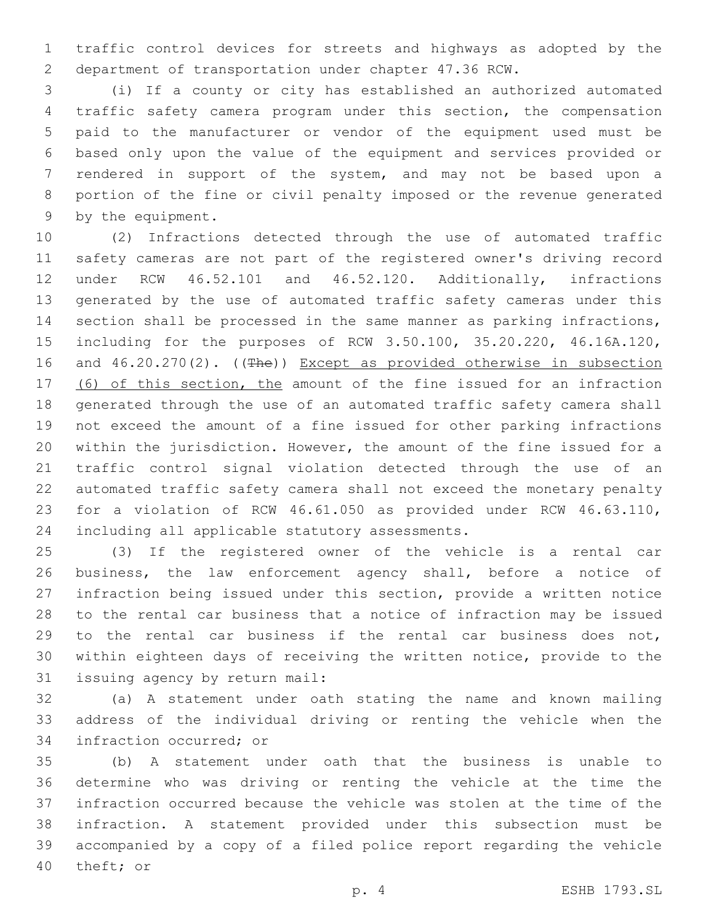traffic control devices for streets and highways as adopted by the department of transportation under chapter 47.36 RCW.

 (i) If a county or city has established an authorized automated traffic safety camera program under this section, the compensation paid to the manufacturer or vendor of the equipment used must be based only upon the value of the equipment and services provided or rendered in support of the system, and may not be based upon a portion of the fine or civil penalty imposed or the revenue generated 9 by the equipment.

 (2) Infractions detected through the use of automated traffic safety cameras are not part of the registered owner's driving record under RCW 46.52.101 and 46.52.120. Additionally, infractions generated by the use of automated traffic safety cameras under this section shall be processed in the same manner as parking infractions, including for the purposes of RCW 3.50.100, 35.20.220, 46.16A.120, 16 and 46.20.270(2). ((The)) Except as provided otherwise in subsection 17 (6) of this section, the amount of the fine issued for an infraction generated through the use of an automated traffic safety camera shall not exceed the amount of a fine issued for other parking infractions within the jurisdiction. However, the amount of the fine issued for a traffic control signal violation detected through the use of an automated traffic safety camera shall not exceed the monetary penalty for a violation of RCW 46.61.050 as provided under RCW 46.63.110, 24 including all applicable statutory assessments.

 (3) If the registered owner of the vehicle is a rental car business, the law enforcement agency shall, before a notice of infraction being issued under this section, provide a written notice to the rental car business that a notice of infraction may be issued to the rental car business if the rental car business does not, within eighteen days of receiving the written notice, provide to the 31 issuing agency by return mail:

 (a) A statement under oath stating the name and known mailing address of the individual driving or renting the vehicle when the 34 infraction occurred; or

 (b) A statement under oath that the business is unable to determine who was driving or renting the vehicle at the time the infraction occurred because the vehicle was stolen at the time of the infraction. A statement provided under this subsection must be accompanied by a copy of a filed police report regarding the vehicle 40 theft; or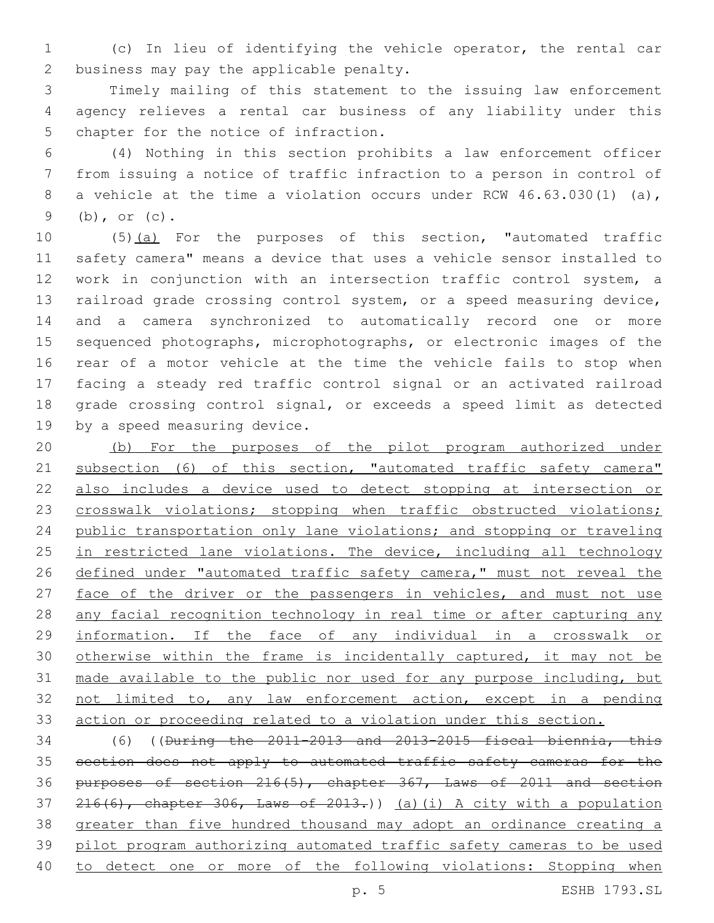(c) In lieu of identifying the vehicle operator, the rental car 2 business may pay the applicable penalty.

 Timely mailing of this statement to the issuing law enforcement agency relieves a rental car business of any liability under this 5 chapter for the notice of infraction.

 (4) Nothing in this section prohibits a law enforcement officer from issuing a notice of traffic infraction to a person in control of 8 a vehicle at the time a violation occurs under RCW 46.63.030(1) (a), (b), or (c).

10 (5)(a) For the purposes of this section, "automated traffic safety camera" means a device that uses a vehicle sensor installed to work in conjunction with an intersection traffic control system, a railroad grade crossing control system, or a speed measuring device, and a camera synchronized to automatically record one or more sequenced photographs, microphotographs, or electronic images of the rear of a motor vehicle at the time the vehicle fails to stop when facing a steady red traffic control signal or an activated railroad grade crossing control signal, or exceeds a speed limit as detected 19 by a speed measuring device.

 (b) For the purposes of the pilot program authorized under 21 subsection (6) of this section, "automated traffic safety camera" also includes a device used to detect stopping at intersection or 23 crosswalk violations; stopping when traffic obstructed violations; public transportation only lane violations; and stopping or traveling 25 in restricted lane violations. The device, including all technology 26 defined under "automated traffic safety camera," must not reveal the 27 face of the driver or the passengers in vehicles, and must not use any facial recognition technology in real time or after capturing any information. If the face of any individual in a crosswalk or otherwise within the frame is incidentally captured, it may not be made available to the public nor used for any purpose including, but not limited to, any law enforcement action, except in a pending action or proceeding related to a violation under this section.

 (6) ((During the 2011-2013 and 2013-2015 fiscal biennia, this 35 section does not apply to automated traffic safety cameras for the purposes of section 216(5), chapter 367, Laws of 2011 and section  $216(6)$ , chapter 306, Laws of 2013.)) (a)(i) A city with a population greater than five hundred thousand may adopt an ordinance creating a pilot program authorizing automated traffic safety cameras to be used to detect one or more of the following violations: Stopping when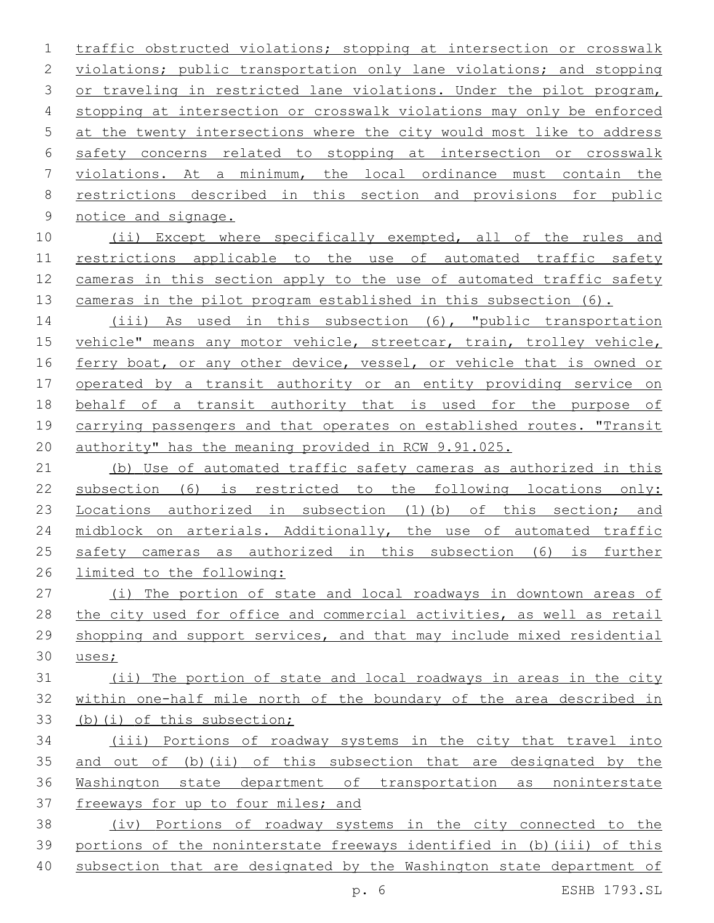traffic obstructed violations; stopping at intersection or crosswalk violations; public transportation only lane violations; and stopping 3 or traveling in restricted lane violations. Under the pilot program, stopping at intersection or crosswalk violations may only be enforced at the twenty intersections where the city would most like to address safety concerns related to stopping at intersection or crosswalk violations. At a minimum, the local ordinance must contain the restrictions described in this section and provisions for public 9 notice and signage.

 (ii) Except where specifically exempted, all of the rules and restrictions applicable to the use of automated traffic safety cameras in this section apply to the use of automated traffic safety 13 cameras in the pilot program established in this subsection (6).

 (iii) As used in this subsection (6), "public transportation 15 vehicle" means any motor vehicle, streetcar, train, trolley vehicle, 16 ferry boat, or any other device, vessel, or vehicle that is owned or operated by a transit authority or an entity providing service on behalf of a transit authority that is used for the purpose of carrying passengers and that operates on established routes. "Transit authority" has the meaning provided in RCW 9.91.025.

 (b) Use of automated traffic safety cameras as authorized in this subsection (6) is restricted to the following locations only: 23 Locations authorized in subsection (1)(b) of this section; and midblock on arterials. Additionally, the use of automated traffic safety cameras as authorized in this subsection (6) is further limited to the following:

 (i) The portion of state and local roadways in downtown areas of the city used for office and commercial activities, as well as retail shopping and support services, and that may include mixed residential uses;

 (ii) The portion of state and local roadways in areas in the city within one-half mile north of the boundary of the area described in (b)(i) of this subsection;

 (iii) Portions of roadway systems in the city that travel into and out of (b)(ii) of this subsection that are designated by the Washington state department of transportation as noninterstate 37 freeways for up to four miles; and

 (iv) Portions of roadway systems in the city connected to the portions of the noninterstate freeways identified in (b)(iii) of this subsection that are designated by the Washington state department of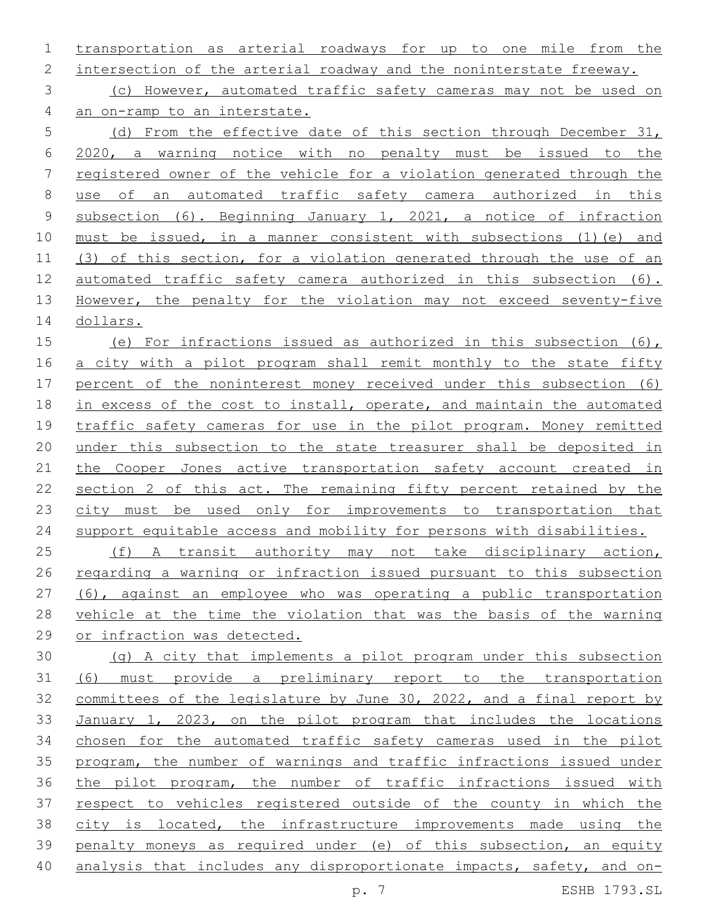transportation as arterial roadways for up to one mile from the

2 intersection of the arterial roadway and the noninterstate freeway.

 (c) However, automated traffic safety cameras may not be used on an on-ramp to an interstate.

 (d) From the effective date of this section through December 31, 2020, a warning notice with no penalty must be issued to the registered owner of the vehicle for a violation generated through the use of an automated traffic safety camera authorized in this subsection (6). Beginning January 1, 2021, a notice of infraction must be issued, in a manner consistent with subsections (1)(e) and (3) of this section, for a violation generated through the use of an automated traffic safety camera authorized in this subsection (6). 13 However, the penalty for the violation may not exceed seventy-five dollars.

 (e) For infractions issued as authorized in this subsection (6), a city with a pilot program shall remit monthly to the state fifty percent of the noninterest money received under this subsection (6) in excess of the cost to install, operate, and maintain the automated traffic safety cameras for use in the pilot program. Money remitted under this subsection to the state treasurer shall be deposited in 21 the Cooper Jones active transportation safety account created in section 2 of this act. The remaining fifty percent retained by the 23 city must be used only for improvements to transportation that support equitable access and mobility for persons with disabilities.

 (f) A transit authority may not take disciplinary action, regarding a warning or infraction issued pursuant to this subsection (6), against an employee who was operating a public transportation vehicle at the time the violation that was the basis of the warning or infraction was detected.

 (g) A city that implements a pilot program under this subsection (6) must provide a preliminary report to the transportation committees of the legislature by June 30, 2022, and a final report by January 1, 2023, on the pilot program that includes the locations chosen for the automated traffic safety cameras used in the pilot program, the number of warnings and traffic infractions issued under the pilot program, the number of traffic infractions issued with respect to vehicles registered outside of the county in which the city is located, the infrastructure improvements made using the penalty moneys as required under (e) of this subsection, an equity analysis that includes any disproportionate impacts, safety, and on